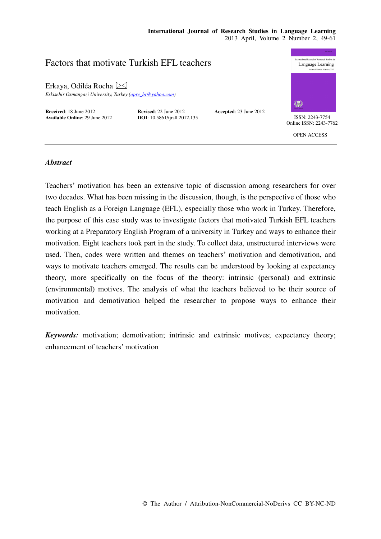#### **International Journal of Research Studies in Language Learning**  2013 April, Volume 2 Number 2, 49-61

# ional Journal of Research Studies in Factors that motivate Turkish EFL teachers Language Learning Erkaya, Odiléa Rocha *Eskisehir Osmangazi University, Turkey (opre\_br@yahoo.com)*  **Received**: 18 June 2012 **Revised**: 22 June 2012 **Accepted**: 23 June 2012 **Available Online**: 29 June 2012 **DOI**: 10.5861/ijrsll.2012.135 **ISSN: 2243-7754** Online ISSN: 2243-7762 OPEN ACCESS

## *Abstract*

Teachers' motivation has been an extensive topic of discussion among researchers for over two decades. What has been missing in the discussion, though, is the perspective of those who teach English as a Foreign Language (EFL), especially those who work in Turkey. Therefore, the purpose of this case study was to investigate factors that motivated Turkish EFL teachers working at a Preparatory English Program of a university in Turkey and ways to enhance their motivation. Eight teachers took part in the study. To collect data, unstructured interviews were used. Then, codes were written and themes on teachers' motivation and demotivation, and ways to motivate teachers emerged. The results can be understood by looking at expectancy theory, more specifically on the focus of the theory: intrinsic (personal) and extrinsic (environmental) motives. The analysis of what the teachers believed to be their source of motivation and demotivation helped the researcher to propose ways to enhance their motivation.

*Keywords:* motivation; demotivation; intrinsic and extrinsic motives; expectancy theory; enhancement of teachers' motivation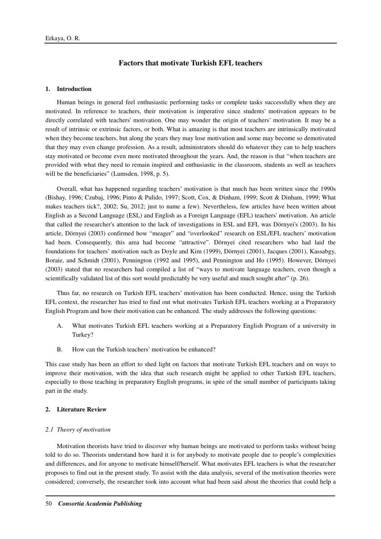# **Factors that motivate Turkish EFL teachers**

#### **1. Introduction**

Human beings in general feel enthusiastic performing tasks or complete tasks successfully when they are motivated. In reference to teachers, their motivation is imperative since students' motivation appears to be directly correlated with teachers' motivation. One may wonder the origin of teachers' motivation. It may be a result of intrinsic or extrinsic factors, or both. What is amazing is that most teachers are intrinsically motivated when they become teachers, but along the years they may lose motivation and some may become so demotivated that they may even change profession. As a result, administrators should do whatever they can to help teachers stay motivated or become even more motivated throughout the years. And, the reason is that "when teachers are provided with what they need to remain inspired and enthusiastic in the classroom, students as well as teachers will be the beneficiaries" (Lumsden, 1998, p. 5).

Overall, what has happened regarding teachers' motivation is that much has been written since the 1990s (Bishay, 1996; Czubaj, 1996; Pinto & Pulido, 1997; Scott, Cox, & Dinham, 1999; Scott & Dinham, 1999; What makes teachers tick?, 2002; Su, 2012; just to name a few). Nevertheless, few articles have been written about English as a Second Language (ESL) and English as a Foreign Language (EFL) teachers' motivation. An article that called the researcher's attention to the lack of investigations in ESL and EFL was Dörnyei's (2003). In his article, Dörnyei (2003) confirmed how "meager" and "overlooked" research on ESL/EFL teachers' motivation had been. Consequently, this area had become "attractive". Dörnyei cited researchers who had laid the foundations for teachers' motivation such as Doyle and Kim (1999), Dörnyei (2001), Jacques (2001), Kassabgy, Boraie, and Schmidt (2001), Pennington (1992 and 1995), and Pennington and Ho (1995). However, Dörnyei (2003) stated that no researchers had compiled a list of "ways to motivate language teachers, even though a scientifically validated list of this sort would predictably be very useful and much sought after" (p. 26).

Thus far, no research on Turkish EFL teachers' motivation has been conducted. Hence, using the Turkish EFL context, the researcher has tried to find out what motivates Turkish EFL teachers working at a Preparatory English Program and how their motivation can be enhanced. The study addresses the following questions:

- A. What motivates Turkish EFL teachers working at a Preparatory English Program of a university in Turkey?
- B. How can the Turkish teachers' motivation be enhanced?

This case study has been an effort to shed light on factors that motivate Turkish EFL teachers and on ways to improve their motivation, with the idea that such research might be applied to other Turkish EFL teachers, especially to those teaching in preparatory English programs, in spite of the small number of participants taking part in the study.

## **2. Literature Review**

#### *2.1 Theory of motivation*

Motivation theorists have tried to discover why human beings are motivated to perform tasks without being told to do so. Theorists understand how hard it is for anybody to motivate people due to people's complexities and differences, and for anyone to motivate himself/herself. What motivates EFL teachers is what the researcher proposes to find out in the present study. To assist with the data analysis, several of the motivation theories were considered; conversely, the researcher took into account what had been said about the theories that could help a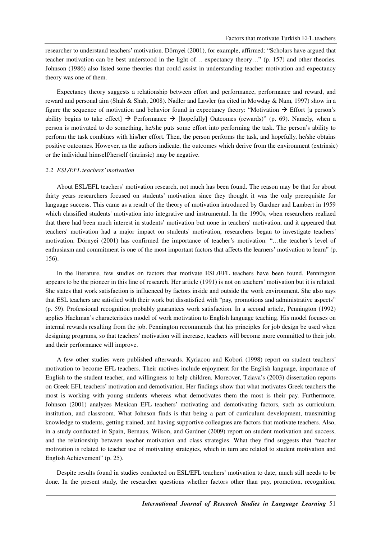researcher to understand teachers' motivation. Dörnyei (2001), for example, affirmed: "Scholars have argued that teacher motivation can be best understood in the light of… expectancy theory…" (p. 157) and other theories. Johnson (1986) also listed some theories that could assist in understanding teacher motivation and expectancy theory was one of them.

Expectancy theory suggests a relationship between effort and performance, performance and reward, and reward and personal aim (Shah & Shah, 2008). Nadler and Lawler (as cited in Mowday & Nam, 1997) show in a figure the sequence of motivation and behavior found in expectancy theory: "Motivation  $\rightarrow$  Effort [a person's ability begins to take effect]  $\rightarrow$  Performance  $\rightarrow$  [hopefully] Outcomes (rewards)" (p. 69). Namely, when a person is motivated to do something, he/she puts some effort into performing the task. The person's ability to perform the task combines with his/her effort. Then, the person performs the task, and hopefully, he/she obtains positive outcomes. However, as the authors indicate, the outcomes which derive from the environment (extrinsic) or the individual himself/herself (intrinsic) may be negative.

#### *2.2 ESL/EFL teachers' motivation*

About ESL/EFL teachers' motivation research, not much has been found. The reason may be that for about thirty years researchers focused on students' motivation since they thought it was the only prerequisite for language success. This came as a result of the theory of motivation introduced by Gardner and Lambert in 1959 which classified students' motivation into integrative and instrumental. In the 1990s, when researchers realized that there had been much interest in students' motivation but none in teachers' motivation, and it appeared that teachers' motivation had a major impact on students' motivation, researchers began to investigate teachers' motivation. Dörnyei (2001) has confirmed the importance of teacher's motivation: "…the teacher's level of enthusiasm and commitment is one of the most important factors that affects the learners' motivation to learn" (p. 156).

In the literature, few studies on factors that motivate ESL/EFL teachers have been found. Pennington appears to be the pioneer in this line of research. Her article (1991) is not on teachers' motivation but it is related. She states that work satisfaction is influenced by factors inside and outside the work environment. She also says that ESL teachers are satisfied with their work but dissatisfied with "pay, promotions and administrative aspects" (p. 59). Professional recognition probably guarantees work satisfaction. In a second article, Pennington (1992) applies Hackman's characteristics model of work motivation to English language teaching. His model focuses on internal rewards resulting from the job. Pennington recommends that his principles for job design be used when designing programs, so that teachers' motivation will increase, teachers will become more committed to their job, and their performance will improve.

A few other studies were published afterwards. Kyriacou and Kobori (1998) report on student teachers' motivation to become EFL teachers. Their motives include enjoyment for the English language, importance of English to the student teacher, and willingness to help children. Moreover, Tziava's (2003) dissertation reports on Greek EFL teachers' motivation and demotivation. Her findings show that what motivates Greek teachers the most is working with young students whereas what demotivates them the most is their pay. Furthermore, Johnson (2001) analyzes Mexican EFL teachers' motivating and demotivating factors, such as curriculum, institution, and classroom. What Johnson finds is that being a part of curriculum development, transmitting knowledge to students, getting trained, and having supportive colleagues are factors that motivate teachers. Also, in a study conducted in Spain, Bernaus, Wilson, and Gardner (2009) report on student motivation and success, and the relationship between teacher motivation and class strategies. What they find suggests that "teacher motivation is related to teacher use of motivating strategies, which in turn are related to student motivation and English Achievement" (p. 25).

Despite results found in studies conducted on ESL/EFL teachers' motivation to date, much still needs to be done. In the present study, the researcher questions whether factors other than pay, promotion, recognition,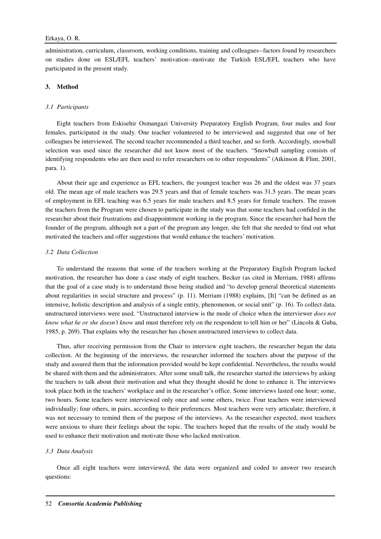administration, curriculum, classroom, working conditions, training and colleagues--factors found by researchers on studies done on ESL/EFL teachers' motivation--motivate the Turkish ESL/EFL teachers who have participated in the present study.

## **3. Method**

## *3.1 Participants*

Eight teachers from Eskisehir Osmangazi University Preparatory English Program, four males and four females, participated in the study. One teacher volunteered to be interviewed and suggested that one of her colleagues be interviewed. The second teacher recommended a third teacher, and so forth. Accordingly, snowball selection was used since the researcher did not know most of the teachers. "Snowball sampling consists of identifying respondents who are then used to refer researchers on to other respondents" (Atkinson & Flint, 2001, para. 1).

About their age and experience as EFL teachers, the youngest teacher was 26 and the oldest was 37 years old. The mean age of male teachers was 29.5 years and that of female teachers was 31.5 years. The mean years of employment in EFL teaching was 6.5 years for male teachers and 8.5 years for female teachers. The reason the teachers from the Program were chosen to participate in the study was that some teachers had confided in the researcher about their frustrations and disappointment working in the program. Since the researcher had been the founder of the program, although not a part of the program any longer, she felt that she needed to find out what motivated the teachers and offer suggestions that would enhance the teachers' motivation.

## *3.2 Data Collection*

To understand the reasons that some of the teachers working at the Preparatory English Program lacked motivation, the researcher has done a case study of eight teachers. Becker (as cited in Merriam, 1988) affirms that the goal of a case study is to understand those being studied and "to develop general theoretical statements about regularities in social structure and process" (p. 11). Merriam (1988) explains, [It] "can be defined as an intensive, holistic description and analysis of a single entity, phenomenon, or social unit" (p. 16). To collect data, unstructured interviews were used. "Unstructured interview is the mode of choice when the interviewer *does not know what he or she doesn't know* and must therefore rely on the respondent to tell him or her" (Lincoln & Guba, 1985, p. 269). That explains why the researcher has chosen unstructured interviews to collect data.

Thus, after receiving permission from the Chair to interview eight teachers, the researcher began the data collection. At the beginning of the interviews, the researcher informed the teachers about the purpose of the study and assured them that the information provided would be kept confidential. Nevertheless, the results would be shared with them and the administrators. After some small talk, the researcher started the interviews by asking the teachers to talk about their motivation and what they thought should be done to enhance it. The interviews took place both in the teachers' workplace and in the researcher's office. Some interviews lasted one hour; some, two hours. Some teachers were interviewed only once and some others, twice. Four teachers were interviewed individually; four others, in pairs, according to their preferences. Most teachers were very articulate; therefore, it was not necessary to remind them of the purpose of the interviews. As the researcher expected, most teachers were anxious to share their feelings about the topic. The teachers hoped that the results of the study would be used to enhance their motivation and motivate those who lacked motivation.

## *3.3 Data Analysis*

Once all eight teachers were interviewed, the data were organized and coded to answer two research questions: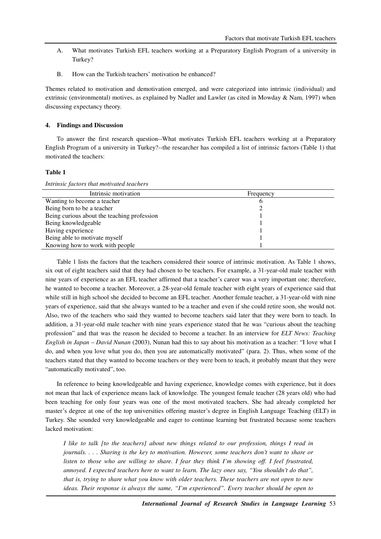- A. What motivates Turkish EFL teachers working at a Preparatory English Program of a university in Turkey?
- B. How can the Turkish teachers' motivation be enhanced?

Themes related to motivation and demotivation emerged, and were categorized into intrinsic (individual) and extrinsic (environmental) motives, as explained by Nadler and Lawler (as cited in Mowday & Nam, 1997) when discussing expectancy theory.

#### **4. Findings and Discussion**

To answer the first research question--What motivates Turkish EFL teachers working at a Preparatory English Program of a university in Turkey?--the researcher has compiled a list of intrinsic factors (Table 1) that motivated the teachers:

#### **Table 1**

| Intrinsic factors that motivated teachers   |           |  |
|---------------------------------------------|-----------|--|
| Intrinsic motivation                        | Frequency |  |
| Wanting to become a teacher                 |           |  |
| Being born to be a teacher                  |           |  |
| Being curious about the teaching profession |           |  |
| Being knowledgeable                         |           |  |
| Having experience                           |           |  |
| Being able to motivate myself               |           |  |

Knowing how to work with people 1

Table 1 lists the factors that the teachers considered their source of intrinsic motivation. As Table 1 shows, six out of eight teachers said that they had chosen to be teachers. For example, a 31-year-old male teacher with nine years of experience as an EFL teacher affirmed that a teacher's career was a very important one; therefore, he wanted to become a teacher. Moreover, a 28-year-old female teacher with eight years of experience said that while still in high school she decided to become an EFL teacher. Another female teacher, a 31-year-old with nine years of experience, said that she always wanted to be a teacher and even if she could retire soon, she would not. Also, two of the teachers who said they wanted to become teachers said later that they were born to teach. In addition, a 31-year-old male teacher with nine years experience stated that he was "curious about the teaching profession" and that was the reason he decided to become a teacher. In an interview for *ELT News: Teaching English in Japan* – *David Nunan* (2003), Nunan had this to say about his motivation as a teacher: "I love what I do, and when you love what you do, then you are automatically motivated" (para. 2). Thus, when some of the teachers stated that they wanted to become teachers or they were born to teach, it probably meant that they were "automatically motivated", too.

In reference to being knowledgeable and having experience, knowledge comes with experience, but it does not mean that lack of experience means lack of knowledge. The youngest female teacher (28 years old) who had been teaching for only four years was one of the most motivated teachers. She had already completed her master's degree at one of the top universities offering master's degree in English Language Teaching (ELT) in Turkey. She sounded very knowledgeable and eager to continue learning but frustrated because some teachers lacked motivation:

*I like to talk [to the teachers] about new things related to our profession, things I read in journals. . . . Sharing is the key to motivation. However, some teachers don't want to share or listen to those who are willing to share. I fear they think I'm showing off. I feel frustrated, annoyed. I expected teachers here to want to learn. The lazy ones say, "You shouldn't do that", that is, trying to share what you know with older teachers. These teachers are not open to new ideas. Their response is always the same, "I'm experienced". Every teacher should be open to*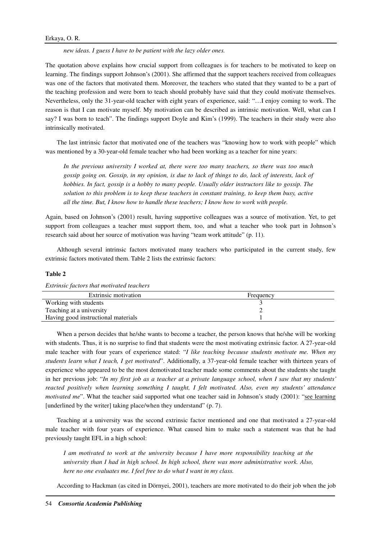*new ideas. I guess I have to be patient with the lazy older ones.* 

The quotation above explains how crucial support from colleagues is for teachers to be motivated to keep on learning. The findings support Johnson's (2001). She affirmed that the support teachers received from colleagues was one of the factors that motivated them. Moreover, the teachers who stated that they wanted to be a part of the teaching profession and were born to teach should probably have said that they could motivate themselves. Nevertheless, only the 31-year-old teacher with eight years of experience, said: "…I enjoy coming to work. The reason is that I can motivate myself. My motivation can be described as intrinsic motivation. Well, what can I say? I was born to teach". The findings support Doyle and Kim's (1999). The teachers in their study were also intrinsically motivated.

The last intrinsic factor that motivated one of the teachers was "knowing how to work with people" which was mentioned by a 30-year-old female teacher who had been working as a teacher for nine years:

*In the previous university I worked at, there were too many teachers, so there was too much gossip going on. Gossip, in my opinion, is due to lack of things to do, lack of interests, lack of hobbies. In fact, gossip is a hobby to many people. Usually older instructors like to gossip. The solution to this problem is to keep these teachers in constant training, to keep them busy, active all the time. But, I know how to handle these teachers; I know how to work with people.* 

Again, based on Johnson's (2001) result, having supportive colleagues was a source of motivation. Yet, to get support from colleagues a teacher must support them, too, and what a teacher who took part in Johnson's research said about her source of motivation was having "team work attitude" (p. 11).

Although several intrinsic factors motivated many teachers who participated in the current study, few extrinsic factors motivated them. Table 2 lists the extrinsic factors:

## **Table 2**

*Extrinsic factors that motivated teachers* 

| Extrinsic motivation                | Frequency |
|-------------------------------------|-----------|
| Working with students               |           |
| Teaching at a university            |           |
| Having good instructional materials |           |

When a person decides that he/she wants to become a teacher, the person knows that he/she will be working with students. Thus, it is no surprise to find that students were the most motivating extrinsic factor. A 27-year-old male teacher with four years of experience stated: "*I like teaching because students motivate me. When my students learn what I teach, I get motivated*". Additionally, a 37-year-old female teacher with thirteen years of experience who appeared to be the most demotivated teacher made some comments about the students she taught in her previous job: "*In my first job as a teacher at a private language school, when I saw that my students' reacted positively when learning something I taught, I felt motivated. Also, even my students' attendance motivated me*". What the teacher said supported what one teacher said in Johnson's study (2001): "see learning [underlined by the writer] taking place/when they understand" (p. 7).

Teaching at a university was the second extrinsic factor mentioned and one that motivated a 27-year-old male teacher with four years of experience. What caused him to make such a statement was that he had previously taught EFL in a high school:

*I am motivated to work at the university because I have more responsibility teaching at the university than I had in high school. In high school, there was more administrative work. Also, here no one evaluates me. I feel free to do what I want in my class.* 

According to Hackman (as cited in Dörnyei, 2001), teachers are more motivated to do their job when the job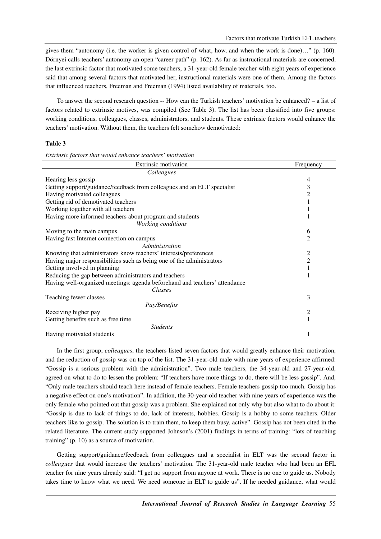gives them "autonomy (i.e. the worker is given control of what, how, and when the work is done)…" (p. 160). Dörnyei calls teachers' autonomy an open "career path" (p. 162). As far as instructional materials are concerned, the last extrinsic factor that motivated some teachers, a 31-year-old female teacher with eight years of experience said that among several factors that motivated her, instructional materials were one of them. Among the factors that influenced teachers, Freeman and Freeman (1994) listed availability of materials, too.

To answer the second research question -- How can the Turkish teachers' motivation be enhanced? – a list of factors related to extrinsic motives, was compiled (See Table 3). The list has been classified into five groups: working conditions, colleagues, classes, administrators, and students. These extrinsic factors would enhance the teachers' motivation. Without them, the teachers felt somehow demotivated:

#### **Table 3**

*Extrinsic factors that would enhance teachers' motivation* 

| Extrinsic motivation                                                       | Frequency      |
|----------------------------------------------------------------------------|----------------|
| Colleagues                                                                 |                |
| Hearing less gossip                                                        | 4              |
| Getting support/guidance/feedback from colleagues and an ELT specialist    | 3              |
| Having motivated colleagues                                                | 2              |
| Getting rid of demotivated teachers                                        |                |
| Working together with all teachers                                         |                |
| Having more informed teachers about program and students                   |                |
| Working conditions                                                         |                |
| Moving to the main campus                                                  | 6              |
| Having fast Internet connection on campus                                  | 2              |
| Administration                                                             |                |
| Knowing that administrators know teachers' interests/preferences           | 2              |
| Having major responsibilities such as being one of the administrators      | $\overline{c}$ |
| Getting involved in planning                                               |                |
| Reducing the gap between administrators and teachers                       |                |
| Having well-organized meetings: agenda beforehand and teachers' attendance |                |
| Classes                                                                    |                |
| Teaching fewer classes                                                     | 3              |
| Pay/Benefits                                                               |                |
| Receiving higher pay                                                       | 2              |
| Getting benefits such as free time                                         |                |
| <b>Students</b>                                                            |                |
| Having motivated students                                                  |                |

In the first group, *colleagues*, the teachers listed seven factors that would greatly enhance their motivation, and the reduction of gossip was on top of the list. The 31-year-old male with nine years of experience affirmed: "Gossip is a serious problem with the administration". Two male teachers, the 34-year-old and 27-year-old, agreed on what to do to lessen the problem: "If teachers have more things to do, there will be less gossip". And, "Only male teachers should teach here instead of female teachers. Female teachers gossip too much. Gossip has a negative effect on one's motivation". In addition, the 30-year-old teacher with nine years of experience was the only female who pointed out that gossip was a problem. She explained not only why but also what to do about it: "Gossip is due to lack of things to do, lack of interests, hobbies. Gossip is a hobby to some teachers. Older teachers like to gossip. The solution is to train them, to keep them busy, active". Gossip has not been cited in the related literature. The current study supported Johnson's (2001) findings in terms of training: "lots of teaching training" (p. 10) as a source of motivation.

Getting support/guidance/feedback from colleagues and a specialist in ELT was the second factor in *colleagues* that would increase the teachers' motivation. The 31-year-old male teacher who had been an EFL teacher for nine years already said: "I get no support from anyone at work. There is no one to guide us. Nobody takes time to know what we need. We need someone in ELT to guide us". If he needed guidance, what would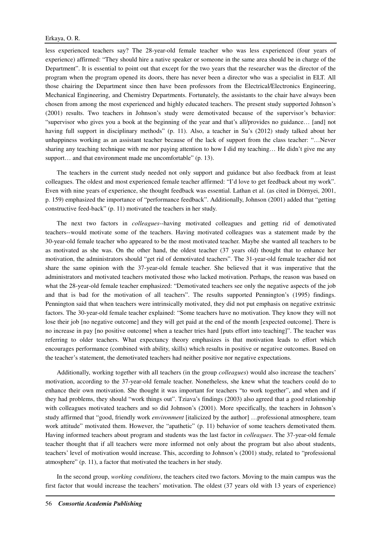less experienced teachers say? The 28-year-old female teacher who was less experienced (four years of experience) affirmed: "They should hire a native speaker or someone in the same area should be in charge of the Department". It is essential to point out that except for the two years that the researcher was the director of the program when the program opened its doors, there has never been a director who was a specialist in ELT. All those chairing the Department since then have been professors from the Electrical/Electronics Engineering, Mechanical Engineering, and Chemistry Departments. Fortunately, the assistants to the chair have always been chosen from among the most experienced and highly educated teachers. The present study supported Johnson's (2001) results. Two teachers in Johnson's study were demotivated because of the supervisor's behavior: "supervisor who gives you a book at the beginning of the year and that's all/provides no guidance… [and] not having full support in disciplinary methods" (p. 11). Also, a teacher in Su's (2012) study talked about her unhappiness working as an assistant teacher because of the lack of support from the class teacher: "…Never sharing any teaching technique with me nor paying attention to how I did my teaching... He didn't give me any support... and that environment made me uncomfortable" (p. 13).

The teachers in the current study needed not only support and guidance but also feedback from at least colleagues. The oldest and most experienced female teacher affirmed: "I'd love to get feedback about my work". Even with nine years of experience, she thought feedback was essential. Lathan et al. (as cited in Dörnyei, 2001, p. 159) emphasized the importance of "performance feedback". Additionally, Johnson (2001) added that "getting constructive feed-back" (p. 11) motivated the teachers in her study.

The next two factors in *colleagues*--having motivated colleagues and getting rid of demotivated teachers--would motivate some of the teachers. Having motivated colleagues was a statement made by the 30-year-old female teacher who appeared to be the most motivated teacher. Maybe she wanted all teachers to be as motivated as she was. On the other hand, the oldest teacher (37 years old) thought that to enhance her motivation, the administrators should "get rid of demotivated teachers". The 31-year-old female teacher did not share the same opinion with the 37-year-old female teacher. She believed that it was imperative that the administrators and motivated teachers motivated those who lacked motivation. Perhaps, the reason was based on what the 28-year-old female teacher emphasized: "Demotivated teachers see only the negative aspects of the job and that is bad for the motivation of all teachers". The results supported Pennington's (1995) findings. Pennington said that when teachers were intrinsically motivated, they did not put emphasis on negative extrinsic factors. The 30-year-old female teacher explained: "Some teachers have no motivation. They know they will not lose their job [no negative outcome] and they will get paid at the end of the month [expected outcome]. There is no increase in pay [no positive outcome] when a teacher tries hard [puts effort into teaching]". The teacher was referring to older teachers. What expectancy theory emphasizes is that motivation leads to effort which encourages performance (combined with ability, skills) which results in positive or negative outcomes. Based on the teacher's statement, the demotivated teachers had neither positive nor negative expectations.

Additionally, working together with all teachers (in the group *colleagues*) would also increase the teachers' motivation, according to the 37-year-old female teacher. Nonetheless, she knew what the teachers could do to enhance their own motivation. She thought it was important for teachers "to work together", and when and if they had problems, they should "work things out". Tziava's findings (2003) also agreed that a good relationship with colleagues motivated teachers and so did Johnson's (2001). More specifically, the teachers in Johnson's study affirmed that "good, friendly work *environment* [italicized by the author] …professional atmosphere, team work attitude" motivated them. However, the "apathetic" (p. 11) behavior of some teachers demotivated them. Having informed teachers about program and students was the last factor in *colleagues*. The 37-year-old female teacher thought that if all teachers were more informed not only about the program but also about students, teachers' level of motivation would increase. This, according to Johnson's (2001) study, related to "professional atmosphere" (p. 11), a factor that motivated the teachers in her study.

In the second group, *working conditions*, the teachers cited two factors. Moving to the main campus was the first factor that would increase the teachers' motivation. The oldest (37 years old with 13 years of experience)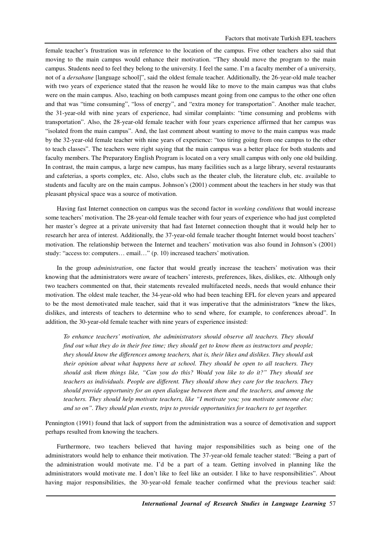female teacher's frustration was in reference to the location of the campus. Five other teachers also said that moving to the main campus would enhance their motivation. "They should move the program to the main campus. Students need to feel they belong to the university. I feel the same. I'm a faculty member of a university, not of a *dersahane* [language school]", said the oldest female teacher. Additionally, the 26-year-old male teacher with two years of experience stated that the reason he would like to move to the main campus was that clubs were on the main campus. Also, teaching on both campuses meant going from one campus to the other one often and that was "time consuming", "loss of energy", and "extra money for transportation". Another male teacher, the 31-year-old with nine years of experience, had similar complaints: "time consuming and problems with transportation". Also, the 28-year-old female teacher with four years experience affirmed that her campus was "isolated from the main campus". And, the last comment about wanting to move to the main campus was made by the 32-year-old female teacher with nine years of experience: "too tiring going from one campus to the other to teach classes". The teachers were right saying that the main campus was a better place for both students and faculty members. The Preparatory English Program is located on a very small campus with only one old building. In contrast, the main campus, a large new campus, has many facilities such as a large library, several restaurants and cafeterias, a sports complex, etc. Also, clubs such as the theater club, the literature club, etc. available to students and faculty are on the main campus. Johnson's (2001) comment about the teachers in her study was that pleasant physical space was a source of motivation.

Having fast Internet connection on campus was the second factor in *working conditions* that would increase some teachers' motivation. The 28-year-old female teacher with four years of experience who had just completed her master's degree at a private university that had fast Internet connection thought that it would help her to research her area of interest. Additionally, the 37-year-old female teacher thought Internet would boost teachers' motivation. The relationship between the Internet and teachers' motivation was also found in Johnson's (2001) study: "access to: computers… email…" (p. 10) increased teachers' motivation.

In the group *administration*, one factor that would greatly increase the teachers' motivation was their knowing that the administrators were aware of teachers' interests, preferences, likes, dislikes, etc. Although only two teachers commented on that, their statements revealed multifaceted needs, needs that would enhance their motivation. The oldest male teacher, the 34-year-old who had been teaching EFL for eleven years and appeared to be the most demotivated male teacher, said that it was imperative that the administrators "knew the likes, dislikes, and interests of teachers to determine who to send where, for example, to conferences abroad". In addition, the 30-year-old female teacher with nine years of experience insisted:

*To enhance teachers' motivation, the administrators should observe all teachers. They should find out what they do in their free time; they should get to know them as instructors and people; they should know the differences among teachers, that is, their likes and dislikes. They should ask their opinion about what happens here at school. They should be open to all teachers. They should ask them things like, "Can you do this? Would you like to do it?" They should see teachers as individuals. People are different. They should show they care for the teachers. They should provide opportunity for an open dialogue between them and the teachers, and among the teachers. They should help motivate teachers, like "I motivate you; you motivate someone else; and so on". They should plan events, trips to provide opportunities for teachers to get together.* 

Pennington (1991) found that lack of support from the administration was a source of demotivation and support perhaps resulted from knowing the teachers.

Furthermore, two teachers believed that having major responsibilities such as being one of the administrators would help to enhance their motivation. The 37-year-old female teacher stated: "Being a part of the administration would motivate me. I'd be a part of a team. Getting involved in planning like the administrators would motivate me. I don't like to feel like an outsider. I like to have responsibilities". About having major responsibilities, the 30-year-old female teacher confirmed what the previous teacher said: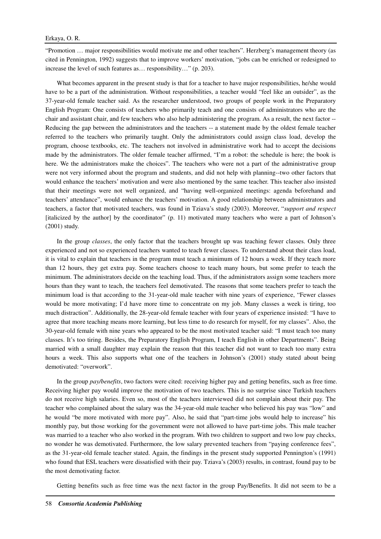"Promotion … major responsibilities would motivate me and other teachers". Herzberg's management theory (as cited in Pennington, 1992) suggests that to improve workers' motivation, "jobs can be enriched or redesigned to increase the level of such features as… responsibility…" (p. 203).

What becomes apparent in the present study is that for a teacher to have major responsibilities, he/she would have to be a part of the administration. Without responsibilities, a teacher would "feel like an outsider", as the 37-year-old female teacher said. As the researcher understood, two groups of people work in the Preparatory English Program: One consists of teachers who primarily teach and one consists of administrators who are the chair and assistant chair, and few teachers who also help administering the program. As a result, the next factor -- Reducing the gap between the administrators and the teachers -- a statement made by the oldest female teacher referred to the teachers who primarily taught. Only the administrators could assign class load, develop the program, choose textbooks, etc. The teachers not involved in administrative work had to accept the decisions made by the administrators. The older female teacher affirmed, "I'm a robot: the schedule is here; the book is here. We the administrators make the choices". The teachers who were not a part of the administrative group were not very informed about the program and students, and did not help with planning--two other factors that would enhance the teachers' motivation and were also mentioned by the same teacher. This teacher also insisted that their meetings were not well organized, and "having well-organized meetings: agenda beforehand and teachers' attendance", would enhance the teachers' motivation. A good relationship between administrators and teachers, a factor that motivated teachers, was found in Tziava's study (2003). Moreover, "*support and respect* [italicized by the author] by the coordinator" (p. 11) motivated many teachers who were a part of Johnson's (2001) study.

In the group *classes*, the only factor that the teachers brought up was teaching fewer classes. Only three experienced and not so experienced teachers wanted to teach fewer classes. To understand about their class load, it is vital to explain that teachers in the program must teach a minimum of 12 hours a week. If they teach more than 12 hours, they get extra pay. Some teachers choose to teach many hours, but some prefer to teach the minimum. The administrators decide on the teaching load. Thus, if the administrators assign some teachers more hours than they want to teach, the teachers feel demotivated. The reasons that some teachers prefer to teach the minimum load is that according to the 31-year-old male teacher with nine years of experience, "Fewer classes would be more motivating; I'd have more time to concentrate on my job. Many classes a week is tiring, too much distraction". Additionally, the 28-year-old female teacher with four years of experience insisted: "I have to agree that more teaching means more learning, but less time to do research for myself, for my classes". Also, the 30-year-old female with nine years who appeared to be the most motivated teacher said: "I must teach too many classes. It's too tiring. Besides, the Preparatory English Program, I teach English in other Departments". Being married with a small daughter may explain the reason that this teacher did not want to teach too many extra hours a week. This also supports what one of the teachers in Johnson's (2001) study stated about being demotivated: "overwork".

In the group *pay/benefits*, two factors were cited: receiving higher pay and getting benefits, such as free time. Receiving higher pay would improve the motivation of two teachers. This is no surprise since Turkish teachers do not receive high salaries. Even so, most of the teachers interviewed did not complain about their pay. The teacher who complained about the salary was the 34-year-old male teacher who believed his pay was "low" and he would "be more motivated with more pay". Also, he said that "part-time jobs would help to increase" his monthly pay, but those working for the government were not allowed to have part-time jobs. This male teacher was married to a teacher who also worked in the program. With two children to support and two low pay checks, no wonder he was demotivated. Furthermore, the low salary prevented teachers from "paying conference fees", as the 31-year-old female teacher stated. Again, the findings in the present study supported Pennington's (1991) who found that ESL teachers were dissatisfied with their pay. Tziava's (2003) results, in contrast, found pay to be the most demotivating factor.

Getting benefits such as free time was the next factor in the group Pay/Benefits. It did not seem to be a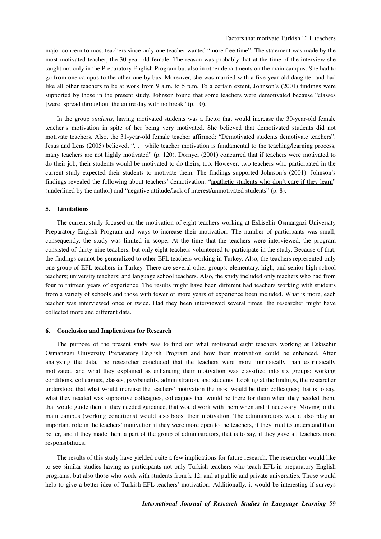major concern to most teachers since only one teacher wanted "more free time". The statement was made by the most motivated teacher, the 30-year-old female. The reason was probably that at the time of the interview she taught not only in the Preparatory English Program but also in other departments on the main campus. She had to go from one campus to the other one by bus. Moreover, she was married with a five-year-old daughter and had like all other teachers to be at work from 9 a.m. to 5 p.m. To a certain extent, Johnson's (2001) findings were supported by those in the present study. Johnson found that some teachers were demotivated because "classes [were] spread throughout the entire day with no break" (p. 10).

In the group *students*, having motivated students was a factor that would increase the 30-year-old female teacher's motivation in spite of her being very motivated. She believed that demotivated students did not motivate teachers. Also, the 31-year-old female teacher affirmed: "Demotivated students demotivate teachers". Jesus and Lens (2005) believed, ". . . while teacher motivation is fundamental to the teaching/learning process, many teachers are not highly motivated" (p. 120). Dörnyei (2001) concurred that if teachers were motivated to do their job, their students would be motivated to do theirs, too. However, two teachers who participated in the current study expected their students to motivate them. The findings supported Johnson's (2001). Johnson's findings revealed the following about teachers' demotivation: "apathetic students who don't care if they learn" (underlined by the author) and "negative attitude/lack of interest/unmotivated students" (p. 8).

#### **5. Limitations**

The current study focused on the motivation of eight teachers working at Eskisehir Osmangazi University Preparatory English Program and ways to increase their motivation. The number of participants was small; consequently, the study was limited in scope. At the time that the teachers were interviewed, the program consisted of thirty-nine teachers, but only eight teachers volunteered to participate in the study. Because of that, the findings cannot be generalized to other EFL teachers working in Turkey. Also, the teachers represented only one group of EFL teachers in Turkey. There are several other groups: elementary, high, and senior high school teachers; university teachers; and language school teachers. Also, the study included only teachers who had from four to thirteen years of experience. The results might have been different had teachers working with students from a variety of schools and those with fewer or more years of experience been included. What is more, each teacher was interviewed once or twice. Had they been interviewed several times, the researcher might have collected more and different data.

#### **6. Conclusion and Implications for Research**

The purpose of the present study was to find out what motivated eight teachers working at Eskisehir Osmangazi University Preparatory English Program and how their motivation could be enhanced. After analyzing the data, the researcher concluded that the teachers were more intrinsically than extrinsically motivated, and what they explained as enhancing their motivation was classified into six groups: working conditions, colleagues, classes, pay/benefits, administration, and students. Looking at the findings, the researcher understood that what would increase the teachers' motivation the most would be their colleagues; that is to say, what they needed was supportive colleagues, colleagues that would be there for them when they needed them, that would guide them if they needed guidance, that would work with them when and if necessary. Moving to the main campus (working conditions) would also boost their motivation. The administrators would also play an important role in the teachers' motivation if they were more open to the teachers, if they tried to understand them better, and if they made them a part of the group of administrators, that is to say, if they gave all teachers more responsibilities.

The results of this study have yielded quite a few implications for future research. The researcher would like to see similar studies having as participants not only Turkish teachers who teach EFL in preparatory English programs, but also those who work with students from k-12, and at public and private universities. Those would help to give a better idea of Turkish EFL teachers' motivation. Additionally, it would be interesting if surveys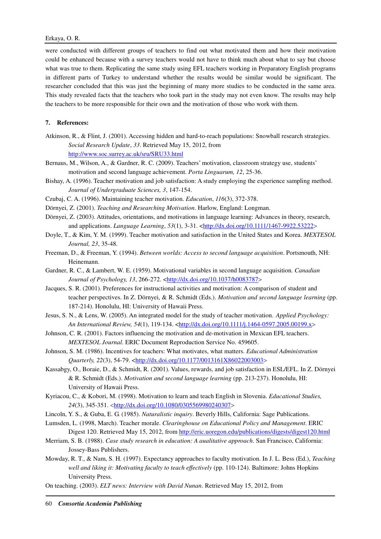were conducted with different groups of teachers to find out what motivated them and how their motivation could be enhanced because with a survey teachers would not have to think much about what to say but choose what was true to them. Replicating the same study using EFL teachers working in Preparatory English programs in different parts of Turkey to understand whether the results would be similar would be significant. The researcher concluded that this was just the beginning of many more studies to be conducted in the same area. This study revealed facts that the teachers who took part in the study may not even know. The results may help the teachers to be more responsible for their own and the motivation of those who work with them.

## **7. References:**

Atkinson, R., & Flint, J. (2001). Accessing hidden and hard-to-reach populations: Snowball research strategies. *Social Research Update*, *33*. Retrieved May 15, 2012, from http://www.soc.surrey.ac.uk/sru/SRU33.html

Bernaus, M., Wilson, A., & Gardner, R. C. (2009). Teachers' motivation, classroom strategy use, students' motivation and second language achievement. *Porta Linguarum, 12*, 25-36.

Bishay, A. (1996). Teacher motivation and job satisfaction: A study employing the experience sampling method. *Journal of Undergraduate Sciences, 3*, 147-154.

- Czubaj, C. A. (1996). Maintaining teacher motivation. *Education*, *116*(3), 372-378.
- Dörnyei, Z. (2001). *Teaching and Researching Motivation*. Harlow, England: Longman.
- Dörnyei, Z. (2003). Attitudes, orientations, and motivations in language learning: Advances in theory, research, and applications. *Language Learning*, 53(1), 3-31. <**http://dx.doi.org/10.1111/1467-9922.53222>**
- Doyle, T., & Kim, Y. M. (1999). Teacher motivation and satisfaction in the United States and Korea. *MEXTESOL Journal, 23*, 35-48.
- Freeman, D., & Freeman, Y. (1994). *Between worlds: Access to second language acquisition*. Portsmouth, NH: Heinemann.
- Gardner, R. C., & Lambert, W. E. (1959). Motivational variables in second language acquisition. *Canadian Journal of Psychology, 13, 266-272.* <http://dx.doi.org/10.1037/h0083787>
- Jacques, S. R. (2001). Preferences for instructional activities and motivation: A comparison of student and teacher perspectives. In Z. Dörnyei, & R. Schmidt (Eds.). *Motivation and second language learning* (pp. 187-214). Honolulu, HI: University of Hawaii Press.
- Jesus, S. N., & Lens, W. (2005). An integrated model for the study of teacher motivation. *Applied Psychology: An International Review, 54*(1), 119-134. <http://dx.doi.org/10.1111/j.1464-0597.2005.00199.x>
- Johnson, C. R. (2001). Factors influencing the motivation and de-motivation in Mexican EFL teachers. *MEXTESOL Journal*. ERIC Document Reproduction Service No. 459605.
- Johnson, S. M. (1986). Incentives for teachers: What motivates, what matters. *Educational Administration Quarterly, 22(3), 54-79.* <http://dx.doi.org/10.1177/0013161X86022003003>
- Kassabgy, O., Boraie, D., & Schmidt, R. (2001). Values, rewards, and job satisfaction in ESL/EFL. In Z. Dörnyei & R. Schmidt (Eds.). *Motivation and second language learning* (pp. 213-237). Honolulu, HI: University of Hawaii Press.
- Kyriacou, C., & Kobori, M. (1998). Motivation to learn and teach English in Slovenia. *Educational Studies, 24*(3), 345-351. <http://dx.doi.org/10.1080/0305569980240307>
- Lincoln, Y. S., & Guba, E. G. (1985). *Naturalistic inquiry*. Beverly Hills, California: Sage Publications.
- Lumsden, L. (1998, March). Teacher morale. *Clearinghouse on Educational Policy and Management*. ERIC Digest 120. Retrieved May 15, 2012, from http://eric.uoregon.edu/publications/digests/digest120.html
- Merriam, S. B. (1988). *Case study research in education: A aualitative approach*. San Francisco, California: Jossey-Bass Publishers.
- Mowday, R. T., & Nam, S. H. (1997). Expectancy approaches to faculty motivation. In J. L. Bess (Ed.), *Teaching well and liking it: Motivating faculty to teach effectively* (pp. 110-124). Baltimore: Johns Hopkins University Press.
- On teaching. (2003). *ELT news: Interview with David Nunan*. Retrieved May 15, 2012, from